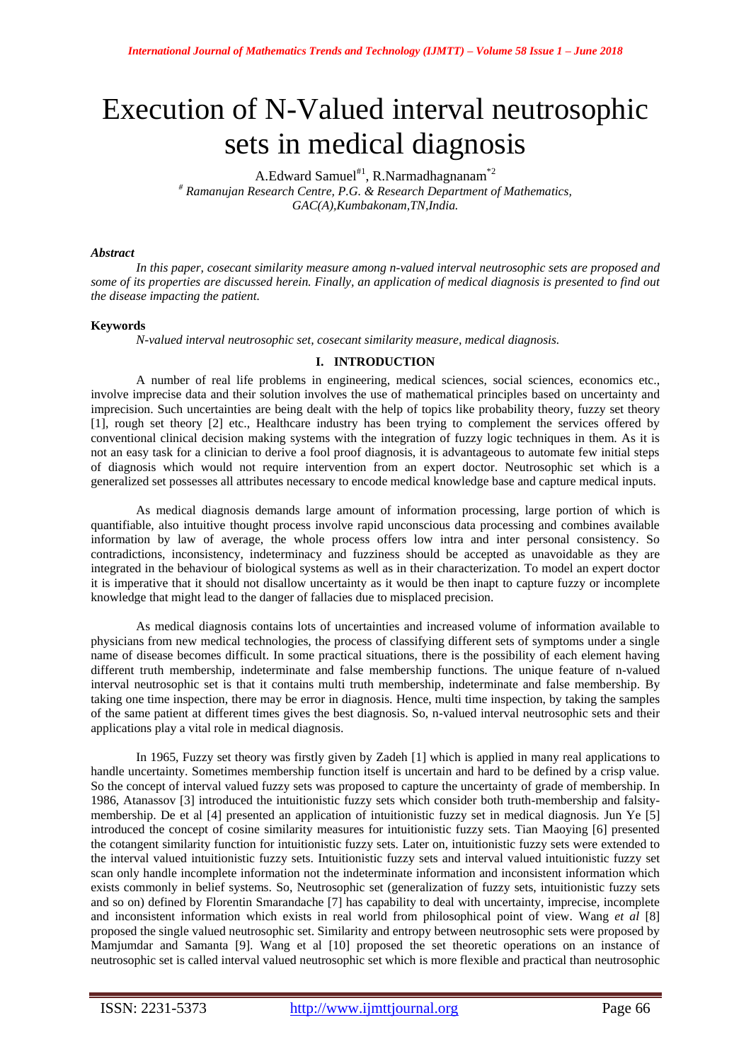# Execution of N-Valued interval neutrosophic sets in medical diagnosis

A.Edward Samuel<sup>#1</sup>, R.Narmadhagnanam<sup>\*2</sup> *# Ramanujan Research Centre, P.G. & Research Department of Mathematics, GAC(A),Kumbakonam,TN,India.*

## *Abstract*

*In this paper, cosecant similarity measure among n-valued interval neutrosophic sets are proposed and some of its properties are discussed herein. Finally, an application of medical diagnosis is presented to find out the disease impacting the patient.*

## **Keywords**

*N-valued interval neutrosophic set, cosecant similarity measure, medical diagnosis.*

## **I. INTRODUCTION**

A number of real life problems in engineering, medical sciences, social sciences, economics etc., involve imprecise data and their solution involves the use of mathematical principles based on uncertainty and imprecision. Such uncertainties are being dealt with the help of topics like probability theory, fuzzy set theory [1], rough set theory [2] etc., Healthcare industry has been trying to complement the services offered by conventional clinical decision making systems with the integration of fuzzy logic techniques in them. As it is not an easy task for a clinician to derive a fool proof diagnosis, it is advantageous to automate few initial steps of diagnosis which would not require intervention from an expert doctor. Neutrosophic set which is a generalized set possesses all attributes necessary to encode medical knowledge base and capture medical inputs.

As medical diagnosis demands large amount of information processing, large portion of which is quantifiable, also intuitive thought process involve rapid unconscious data processing and combines available information by law of average, the whole process offers low intra and inter personal consistency. So contradictions, inconsistency, indeterminacy and fuzziness should be accepted as unavoidable as they are integrated in the behaviour of biological systems as well as in their characterization. To model an expert doctor it is imperative that it should not disallow uncertainty as it would be then inapt to capture fuzzy or incomplete knowledge that might lead to the danger of fallacies due to misplaced precision.

As medical diagnosis contains lots of uncertainties and increased volume of information available to physicians from new medical technologies, the process of classifying different sets of symptoms under a single name of disease becomes difficult. In some practical situations, there is the possibility of each element having different truth membership, indeterminate and false membership functions. The unique feature of n-valued interval neutrosophic set is that it contains multi truth membership, indeterminate and false membership. By taking one time inspection, there may be error in diagnosis. Hence, multi time inspection, by taking the samples of the same patient at different times gives the best diagnosis. So, n-valued interval neutrosophic sets and their applications play a vital role in medical diagnosis.

In 1965, Fuzzy set theory was firstly given by Zadeh [1] which is applied in many real applications to handle uncertainty. Sometimes membership function itself is uncertain and hard to be defined by a crisp value. So the concept of interval valued fuzzy sets was proposed to capture the uncertainty of grade of membership. In 1986, Atanassov [3] introduced the intuitionistic fuzzy sets which consider both truth-membership and falsitymembership. De et al [4] presented an application of intuitionistic fuzzy set in medical diagnosis. Jun Ye [5] introduced the concept of cosine similarity measures for intuitionistic fuzzy sets. Tian Maoying [6] presented the cotangent similarity function for intuitionistic fuzzy sets. Later on, intuitionistic fuzzy sets were extended to the interval valued intuitionistic fuzzy sets. Intuitionistic fuzzy sets and interval valued intuitionistic fuzzy set scan only handle incomplete information not the indeterminate information and inconsistent information which exists commonly in belief systems. So, Neutrosophic set (generalization of fuzzy sets, intuitionistic fuzzy sets and so on) defined by Florentin Smarandache [7] has capability to deal with uncertainty, imprecise, incomplete and inconsistent information which exists in real world from philosophical point of view. Wang *et al* [8] proposed the single valued neutrosophic set. Similarity and entropy between neutrosophic sets were proposed by Mamjumdar and Samanta [9]. Wang et al [10] proposed the set theoretic operations on an instance of neutrosophic set is called interval valued neutrosophic set which is more flexible and practical than neutrosophic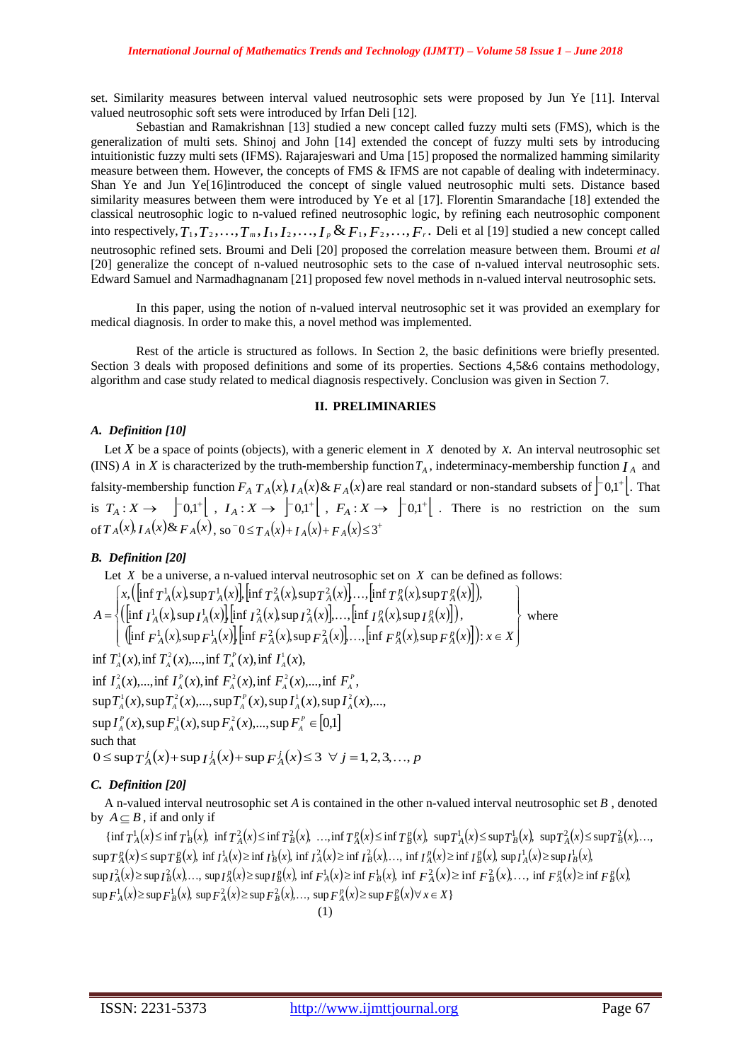set. Similarity measures between interval valued neutrosophic sets were proposed by Jun Ye [11]. Interval valued neutrosophic soft sets were introduced by Irfan Deli [12].

Sebastian and Ramakrishnan [13] studied a new concept called fuzzy multi sets (FMS), which is the generalization of multi sets. Shinoj and John [14] extended the concept of fuzzy multi sets by introducing intuitionistic fuzzy multi sets (IFMS). Rajarajeswari and Uma [15] proposed the normalized hamming similarity measure between them. However, the concepts of FMS & IFMS are not capable of dealing with indeterminacy. Shan Ye and Jun Ye[16]introduced the concept of single valued neutrosophic multi sets. Distance based similarity measures between them were introduced by Ye et al [17]. Florentin Smarandache [18] extended the classical neutrosophic logic to n-valued refined neutrosophic logic, by refining each neutrosophic component into respectively,  $T_1, T_2, \ldots, T_m, I_1, I_2, \ldots, I_p \& F_1, F_2, \ldots, F_r$ . Deli et al [19] studied a new concept called neutrosophic refined sets. Broumi and Deli [20] proposed the correlation measure between them. Broumi *et al* [20] generalize the concept of n-valued neutrosophic sets to the case of n-valued interval neutrosophic sets. Edward Samuel and Narmadhagnanam [21] proposed few novel methods in n-valued interval neutrosophic sets.

In this paper, using the notion of n-valued interval neutrosophic set it was provided an exemplary for medical diagnosis. In order to make this, a novel method was implemented.

Rest of the article is structured as follows. In Section 2, the basic definitions were briefly presented. Section 3 deals with proposed definitions and some of its properties. Sections 4,5&6 contains methodology, algorithm and case study related to medical diagnosis respectively. Conclusion was given in Section 7.

## **II. PRELIMINARIES**

#### *A. Definition [10]*

Let  $X$  be a space of points (objects), with a generic element in  $X$  denoted by  $x$ . An interval neutrosophic set (INS) A in X is characterized by the truth-membership function  $T_A$ , indeterminacy-membership function  $I_A$  and falsity-membership function  $F_A T_A(x)$ ,  $I_A(x)$  &  $F_A(x)$  are real standard or non-standard subsets of  $\begin{bmatrix} -0.1 \\ -0.1 \end{bmatrix}$ . That is  $T_A: X \to \begin{bmatrix} 0,1^+ \end{bmatrix}$ ,  $I_A: X \to \begin{bmatrix} 0,1^+ \end{bmatrix}$ ,  $F_A: X \to \begin{bmatrix} 0,1^+ \end{bmatrix}$ . There is no restriction on the sum of  $T_A(x)$ ,  $I_A(x)$  &  $F_A(x)$ , so  $\bar{}0 \le T_A(x) + I_A(x) + F_A(x) \le 3^+$ 

## *B. Definition [20]*

Let X be a universe, a n-valued interval neutrosophic set on X can be defined as follows:  
\n
$$
A = \begin{cases}\n\left\{\left[\inf T_A^1(x), \sup T_A^1(x)\right], \left[\inf T_A^2(x), \sup T_A^2(x)\right], \dots, \left[\inf T_A^p(x), \sup T_A^p(x)\right]\right], \\
\left\{\left[\inf T_A^1(x), \sup T_A^1(x)\right], \left[\inf T_A^2(x), \sup T_A^2(x)\right], \dots, \left[\inf T_A^p(x), \sup T_A^p(x)\right]\right], \\
\left\{\left[\inf F_A^1(x), \sup F_A^1(x)\right], \left[\inf F_A^2(x), \sup F_A^2(x)\right], \dots, \left[\inf F_A^p(x), \sup F_A^p(x)\right]\right\} \colon x \in X\n\end{cases}
$$
\nwhere  
\n
$$
\left\{\inf T_A^1(x), \inf T_A^2(x), \dots, \inf T_A^p(x), \inf T_A^1(x), \dots, \left[\inf T_A^p(x), \sup F_A^2(x), \dots, \left[\inf F_A^p(x), \sup F_A^p(x)\right]\right] : x \in X\n\end{cases}
$$
\n
$$
\left\{\int T_A^1(x), \sup T_A^2(x), \dots, \sup T_A^p(x), \sup T_A^2(x), \dots, \sup T_A^p(x), \dots, \sup T_A^p(x), \dots, \sup T_A^p(x), \dots, \sup T_A^p(x), \dots, \sup T_A^p(x), \dots, \sup T_A^p(x), \dots, \sup T_A^p(x), \dots, \sup T_A^p(x), \dots, \sup T_A^p(x), \dots, \sup T_A^p(x), \dots, \sup T_A^p(x), \dots, \sup T_A^p(x), \dots, \sup T_A^p(x), \dots, \sup T_A^p(x), \dots, \sup T_A^p(x), \dots, \sup T_A^p(x), \dots, \sup T_A^p(x), \dots, \sup T_A^p(x), \dots, \sup T_A^p(x), \dots, \sup T_A^p(x), \dots, \sup T_A^p(x), \dots, \sup T_A^p(x), \dots, \sup T_A^p(x), \dots, \sup T_A^p(x), \dots, \sup T_A^p(x), \dots, \sup T_A^p(x), \dots, \sup T_A^p(x), \dots, \sup T_A^p(x), \dots, \sup T_A^p(x), \dots, \sup T_A^p(x), \dots, \sup T_A^p(x), \dots, \sup T_A^p(x
$$

 $\sup I_A^P(x)$ ,  $\sup F_A^1(x)$ ,  $\sup F_A^2(x)$ , ..., $\sup F_A^P \in [0,1]$ such that  $0 \le \sup T_A^j(x) + \sup T_A^j(x) + \sup F_A^j(x) \le 3 \ \ \forall \ j = 1, 2, 3, ..., p$ 

## *C. Definition [20]*

A n-valued interval neutrosophic set *A* is contained in the other n-valued interval neutrosophic set *B* , denoted by  $A \subseteq B$ , if and only if

 $\{\inf T_A^1(x) \leq \inf T_B^1(x), \inf T_A^2(x) \leq \inf T_B^2(x), \dots, \inf T_A^p(x) \leq \inf T_B^p(x), \sup T_A^1(x) \leq \sup T_B^1(x), \sup T_A^2(x) \leq \sup T_B^2(x), \dots,$  $\sup T_A^p(x) \leq \sup T_B^p(x)$ ,  $\inf T_A^1(x) \geq \inf T_B^1(x)$ ,  $\inf T_A^2(x) \geq \inf T_B^2(x)$ ,...,  $\inf T_A^p(x) \geq \inf T_B^p(x)$ ,  $\sup T_A^1(x) \geq \sup T_B^1(x)$ ,  $\sup I_A^2(x) \ge \sup I_B^2(x)$ ,...,  $\sup I_A^p(x) \ge \sup I_B^p(x)$ ,  $\inf F_A^1(x) \ge \inf F_B^1(x)$ ,  $\inf F_A^2(x) \ge \inf F_B^2(x)$ ,...,  $\inf F_A^p(x) \ge \inf F_B^p(x)$ ,  $\sup F_A^1(x) \ge \sup F_B^1(x)$ ,  $\sup F_A^2(x) \ge \sup F_B^2(x)$ ,...,  $\sup F_A^2(x) \ge \sup F_B^2(x)$   $\forall x \in X$  }  $(1)$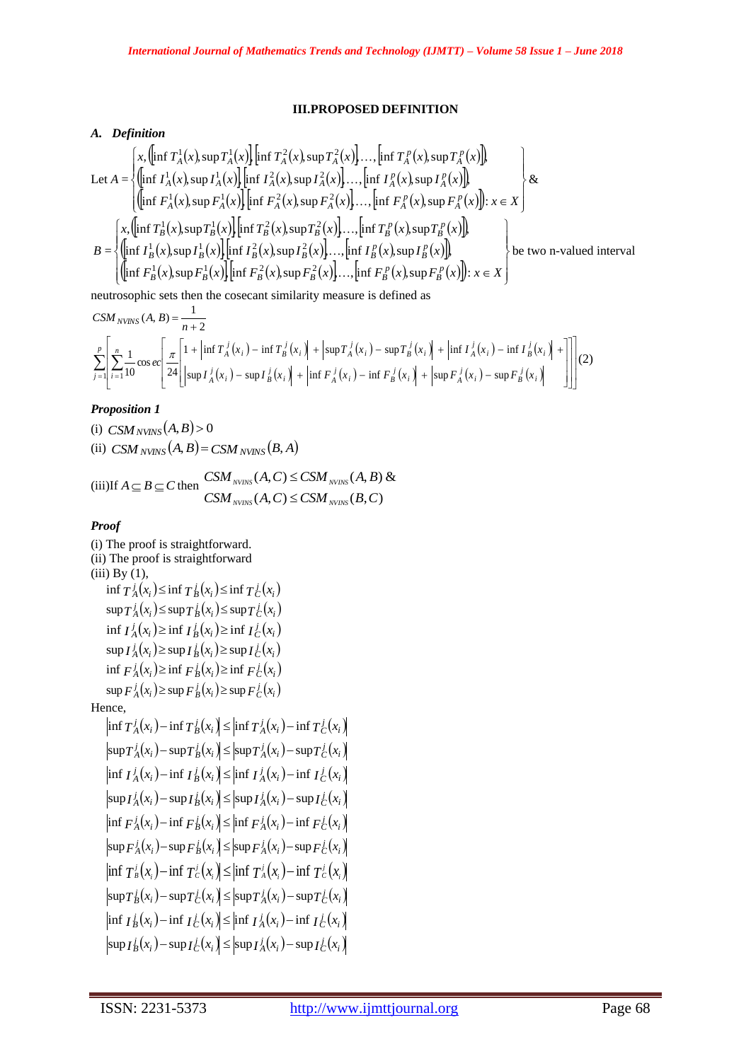## **III.PROPOSED DEFINITION**

## *A. Definition*

Let 
$$
A = \begin{cases} x, \left( \inf T_A^1(x), \sup T_A^1(x) \right) \left[ \inf T_A^2(x), \sup T_A^2(x) \right], ..., \left[ \inf T_A^p(x), \sup T_A^p(x) \right] \right) \\ \left( \inf T_A^1(x), \sup T_A^1(x) \right) \left[ \inf T_A^2(x), \sup T_A^2(x) \right], ..., \left[ \inf T_A^p(x), \sup T_A^p(x) \right] \right) \\ \left( \inf F_A^1(x), \sup F_A^1(x) \right) \left[ \inf F_A^2(x), \sup F_A^2(x) \right], ..., \left[ \inf F_A^p(x), \sup F_A^p(x) \right] \right): x \in X \end{cases}
$$
  

$$
B = \begin{cases} x, \left( \inf T_B^1(x), \sup T_B^1(x) \right) \left[ \inf T_B^2(x), \sup T_B^2(x) \right], ..., \left[ \inf T_B^p(x), \sup T_B^p(x) \right] \right) \\ \left( \inf T_B^1(x), \sup T_B^1(x) \right) \left[ \inf T_B^2(x), \sup T_B^2(x) \right], ..., \left[ \inf T_B^p(x), \sup T_B^p(x) \right] \right) \\ \left( \left[ \inf F_B^1(x), \sup F_B^1(x) \right] \left[ \inf F_B^2(x), \sup F_B^2(x) \right], ..., \left[ \inf F_B^p(x), \sup F_B^p(x) \right] \right): x \in X \end{cases}
$$
 be two n-valued interval

neutrosophic sets then the cosecant similarity measure is defined as

$$
CSM_{NVINS}(A, B) = \frac{1}{n+2}
$$
\n
$$
\sum_{j=1}^{p} \left[ \sum_{i=1}^{n} \frac{1}{10} \cos ec \left[ \frac{\pi}{24} \left[ 1 + \left| \inf T_A^j(x_i) - \inf T_B^j(x_i) \right| + \left| \sup T_A^j(x_i) - \sup T_B^j(x_i) \right| + \left| \inf T_A^j(x_i) - \inf T_B^j(x_i) \right| + \right| \right] \right] (2)
$$
\n
$$
CSM_{NVINS}(A, B) = \frac{1}{n+2}
$$

# *Proposition 1*

(i)  $CSM_{NVINS}(A, B) > 0$ (ii)  $CSM_{NVINS}(A, B) = CSM_{NVINS}(B, A)$ 

$$
(iii) If A \subseteq B \subseteq C then \begin{cases} CSM_{_{NVMSS}}(A, C) \leq CSM_{_{NVMSS}}(A, B) & \& \\ CSM_{_{NVMSS}}(A, C) \leq CSM_{_{NVMSS}}(B, C) \end{cases}
$$

# *Proof*

(i) The proof is straightforward. (ii) The proof is straightforward  $(iii)$  By  $(1)$ ,  $\inf T_A^j(x_i) \leq \inf T_B^j(x_i) \leq \inf T_C^j(x_i)$  $\sup T_A^j(x_i) \leq \sup T_B^j(x_i) \leq \sup T_C^j(x_i)$  $\inf I_A^j(x_i) \geq \inf I_B^j(x_i) \geq \inf I_C^j(x_i)$  $\sup I_A^j(x_i) \geq \sup I_B^j(x_i) \geq \sup I_C^j(x_i)$  $\inf F_A^j(x_i) \geq \inf F_B^j(x_i) \geq \inf F_C^j(x_i)$  $\sup F_A^j(x_i) \geq \sup F_B^j(x_i) \geq \sup F_C^j(x_i)$ Hence,  $\inf T_A^j(x_i) - \inf T_B^j(x_i) \leq \inf T_A^j(x_i) - \inf T_C^j(x_i)$  $\sup T_A^j(x_i) - \sup T_B^j(x_i) \leq |\sup T_A^j(x_i) - \sup T_C^j(x_i)|$  $\inf I_A^j(x_i) - \inf I_B^j(x_i) \leq \inf I_A^j(x_i) - \inf I_C^j(x_i)$  $\sup I_A^j(x_i) - \sup I_B^j(x_i) \leq |\sup I_A^j(x_i) - \sup I_C^j(x_i)|$  $\inf F_A^j(x_i) - \inf F_B^j(x_i) \leq \inf F_A^j(x_i) - \inf F_C^j(x_i)$  $\sup F_A^j(x_i) - \sup F_B^j(x_i) \leq |\sup F_A^j(x_i) - \sup F_C^j(x_i)|$  $\inf T_{B}^{j}(x_{i}) - \inf T_{C}^{j}(x_{i}) \leq \inf T_{A}^{j}(x_{i}) - \inf T_{C}^{j}(x_{i})$  $\sup T_B^j(x_i) - \sup T_C^j(x_i) \leq \sup T_A^j(x_i) - \sup T_C^j(x_i)$  $\inf I_B^j(x_i) - \inf I_C^j(x_i) \leq \inf I_A^j(x_i) - \inf I_C^j(x_i)$  $\sup I_B^j(x_i) - \sup I_C^j(x_i) \leq |\sup I_A^j(x_i) - \sup I_C^j(x_i)|$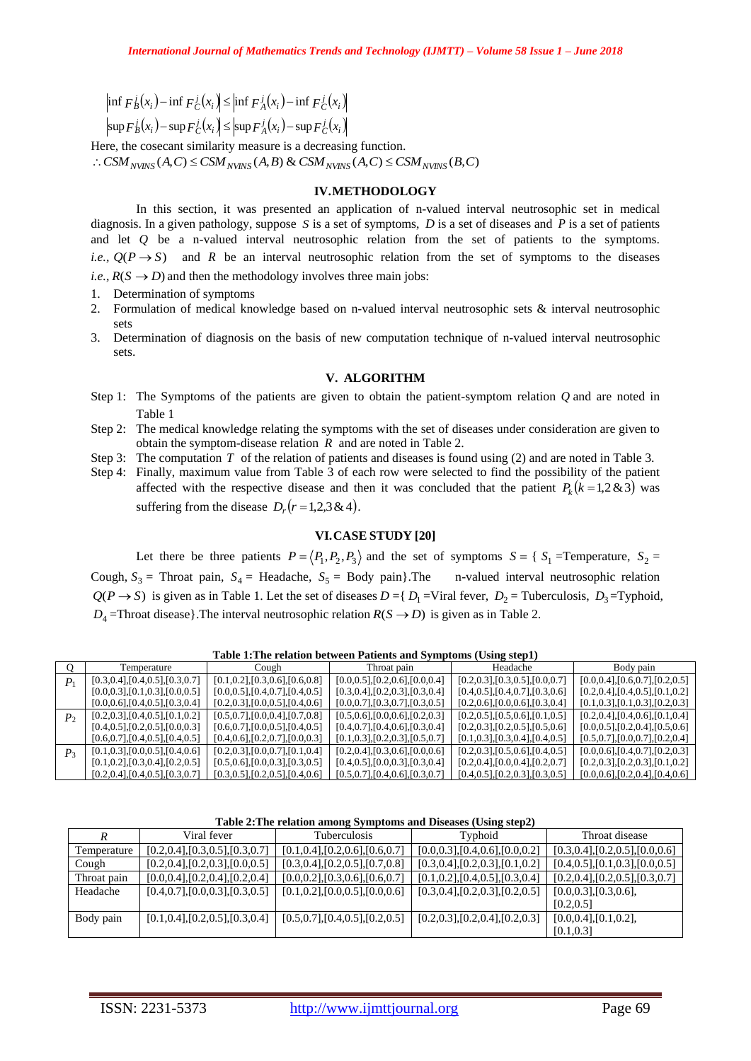$\int f(x_i) - \inf F_C(x_i) \leq \inf F_A(x_i) - \inf F_C(x_i)$ 

## **IV.METHODOLOGY**

- 1. Determination of symptoms
- 2. Formulation of medical knowledge based on n-valued interval neutrosophic sets & interval neutrosophic sets
- 3. Determination of diagnosis on the basis of new computation technique of n-valued interval neutrosophic sets.

## **V. ALGORITHM**

- Step 1: The Symptoms of the patients are given to obtain the patient-symptom relation *Q* and are noted in Table 1
- Step 2: The medical knowledge relating the symptoms with the set of diseases under consideration are given to obtain the symptom-disease relation  $R$  and are noted in Table 2.
- Step 3: The computation T of the relation of patients and diseases is found using (2) and are noted in Table 3.
- Step 4: Finally, maximum value from Table 3 of each row were selected to find the possibility of the patient affected with the respective disease and then it was concluded that the patient  $P_k(k=1,2\&3)$  was suffering from the disease  $D_r(r=1,2,3 \& 4)$ .

## **VI.CASE STUDY [20]**

|                      |                                                                                                                                                                                                                                                                                                                                                                                                                                                                                                                                                                                    | $\left \inf F_B^j(x_i) - \inf F_C^j(x_i)\right  \leq \left \inf F_A^j(x_i) - \inf F_C^j(x_i)\right $ |  |                                                                                                                                                          |  |                                                                                                         |                                                                                                                                                                                                                                                                                                                                                                                                                                                             |
|----------------------|------------------------------------------------------------------------------------------------------------------------------------------------------------------------------------------------------------------------------------------------------------------------------------------------------------------------------------------------------------------------------------------------------------------------------------------------------------------------------------------------------------------------------------------------------------------------------------|------------------------------------------------------------------------------------------------------|--|----------------------------------------------------------------------------------------------------------------------------------------------------------|--|---------------------------------------------------------------------------------------------------------|-------------------------------------------------------------------------------------------------------------------------------------------------------------------------------------------------------------------------------------------------------------------------------------------------------------------------------------------------------------------------------------------------------------------------------------------------------------|
|                      |                                                                                                                                                                                                                                                                                                                                                                                                                                                                                                                                                                                    | $\left \sup F_B^j(x_i)-\sup F_C^j(x_i)\right \leq \left \sup F_A^j(x_i)-\sup F_C^j(x_i)\right $      |  |                                                                                                                                                          |  |                                                                                                         |                                                                                                                                                                                                                                                                                                                                                                                                                                                             |
|                      |                                                                                                                                                                                                                                                                                                                                                                                                                                                                                                                                                                                    |                                                                                                      |  | Here, the cosecant similarity measure is a decreasing function.<br>: $CSM_{NVINS}(A,C) \leq CSM_{NVINS}(A,B)$ & $CSM_{NVINS}(A,C) \leq CSM_{NVINS}(B,C)$ |  |                                                                                                         |                                                                                                                                                                                                                                                                                                                                                                                                                                                             |
|                      |                                                                                                                                                                                                                                                                                                                                                                                                                                                                                                                                                                                    |                                                                                                      |  | <b>IV.METHODOLOGY</b>                                                                                                                                    |  |                                                                                                         |                                                                                                                                                                                                                                                                                                                                                                                                                                                             |
|                      |                                                                                                                                                                                                                                                                                                                                                                                                                                                                                                                                                                                    |                                                                                                      |  |                                                                                                                                                          |  |                                                                                                         | In this section, it was presented an application of n-valued interval neutrosophic set in medical<br>diagnosis. In a given pathology, suppose $S$ is a set of symptoms, $D$ is a set of diseases and $P$ is a set of patients<br>and let Q be a n-valued interval neutrosophic relation from the set of patients to the symptoms.<br><i>i.e.</i> , $Q(P \rightarrow S)$ and R be an interval neutrosophic relation from the set of symptoms to the diseases |
|                      |                                                                                                                                                                                                                                                                                                                                                                                                                                                                                                                                                                                    |                                                                                                      |  | <i>i.e.</i> , $R(S \rightarrow D)$ and then the methodology involves three main jobs:                                                                    |  |                                                                                                         |                                                                                                                                                                                                                                                                                                                                                                                                                                                             |
| 1.<br>2.<br>sets     | Determination of symptoms                                                                                                                                                                                                                                                                                                                                                                                                                                                                                                                                                          |                                                                                                      |  |                                                                                                                                                          |  |                                                                                                         | Formulation of medical knowledge based on n-valued interval neutrosophic sets & interval neutrosophic                                                                                                                                                                                                                                                                                                                                                       |
| 3.<br>sets.          |                                                                                                                                                                                                                                                                                                                                                                                                                                                                                                                                                                                    |                                                                                                      |  |                                                                                                                                                          |  |                                                                                                         | Determination of diagnosis on the basis of new computation technique of n-valued interval neutrosophic                                                                                                                                                                                                                                                                                                                                                      |
|                      |                                                                                                                                                                                                                                                                                                                                                                                                                                                                                                                                                                                    |                                                                                                      |  | V. ALGORITHM                                                                                                                                             |  |                                                                                                         |                                                                                                                                                                                                                                                                                                                                                                                                                                                             |
|                      | Table 1                                                                                                                                                                                                                                                                                                                                                                                                                                                                                                                                                                            |                                                                                                      |  |                                                                                                                                                          |  |                                                                                                         | Step 1: The Symptoms of the patients are given to obtain the patient-symptom relation $Q$ and are noted in                                                                                                                                                                                                                                                                                                                                                  |
|                      | Step 2: The medical knowledge relating the symptoms with the set of diseases under consideration are given to<br>obtain the symptom-disease relation $R$ and are noted in Table 2.<br>Step 3: The computation $T$ of the relation of patients and diseases is found using (2) and are noted in Table 3.<br>Step 4: Finally, maximum value from Table 3 of each row were selected to find the possibility of the patient<br>affected with the respective disease and then it was concluded that the patient $P_k(k=1,2\&3)$ was<br>suffering from the disease $D_r(r=1,2,3 \& 4)$ . |                                                                                                      |  |                                                                                                                                                          |  |                                                                                                         |                                                                                                                                                                                                                                                                                                                                                                                                                                                             |
|                      |                                                                                                                                                                                                                                                                                                                                                                                                                                                                                                                                                                                    |                                                                                                      |  | VI.CASE STUDY [20]                                                                                                                                       |  |                                                                                                         |                                                                                                                                                                                                                                                                                                                                                                                                                                                             |
|                      |                                                                                                                                                                                                                                                                                                                                                                                                                                                                                                                                                                                    |                                                                                                      |  |                                                                                                                                                          |  |                                                                                                         | Let there be three patients $P = \langle P_1, P_2, P_3 \rangle$ and the set of symptoms $S = \{ S_1 = \text{Temperature}, S_2 = \text{temperature}, S_3 = \text{temperature}\}$                                                                                                                                                                                                                                                                             |
|                      |                                                                                                                                                                                                                                                                                                                                                                                                                                                                                                                                                                                    |                                                                                                      |  |                                                                                                                                                          |  |                                                                                                         | Cough, $S_3$ = Throat pain, $S_4$ = Headache, $S_5$ = Body pain}. The n-valued interval neutrosophic relation                                                                                                                                                                                                                                                                                                                                               |
|                      |                                                                                                                                                                                                                                                                                                                                                                                                                                                                                                                                                                                    |                                                                                                      |  |                                                                                                                                                          |  |                                                                                                         | $Q(P \to S)$ is given as in Table 1. Let the set of diseases $D = \{ D_1 = V \text{ real fever}, D_2 = \text{Tuberculosis}, D_3 = \text{Typloid}, D_4 = \text{Tr}_2\}$                                                                                                                                                                                                                                                                                      |
|                      |                                                                                                                                                                                                                                                                                                                                                                                                                                                                                                                                                                                    |                                                                                                      |  |                                                                                                                                                          |  | $D_4$ =Throat disease}. The interval neutrosophic relation $R(S \rightarrow D)$ is given as in Table 2. |                                                                                                                                                                                                                                                                                                                                                                                                                                                             |
|                      |                                                                                                                                                                                                                                                                                                                                                                                                                                                                                                                                                                                    |                                                                                                      |  |                                                                                                                                                          |  |                                                                                                         |                                                                                                                                                                                                                                                                                                                                                                                                                                                             |
|                      | Temperature                                                                                                                                                                                                                                                                                                                                                                                                                                                                                                                                                                        | Cough                                                                                                |  | Throat pain                                                                                                                                              |  | Table 1: The relation between Patients and Symptoms (Using step1)<br>Headache                           | Body pain                                                                                                                                                                                                                                                                                                                                                                                                                                                   |
|                      | [0.3, 0.4], [0.4, 0.5], [0.3, 0.7]                                                                                                                                                                                                                                                                                                                                                                                                                                                                                                                                                 | $[0.1, 0.2]$ , $[0.3, 0.6]$ , $[0.6, 0.8]$                                                           |  | $[0.0, 0.5]$ , $[0.2, 0.6]$ , $[0.0, 0.4]$                                                                                                               |  | $[0.2, 0.3]$ , $[0.3, 0.5]$ , $[0.0, 0.7]$                                                              | $[0.0, 0.4]$ , $[0.6, 0.7]$ , $[0.2, 0.5]$                                                                                                                                                                                                                                                                                                                                                                                                                  |
|                      | $[0.0, 0.3]$ , $[0.1, 0.3]$ , $[0.0, 0.5]$<br>[0.0, 0.6], [0.4, 0.5], [0.3, 0.4]                                                                                                                                                                                                                                                                                                                                                                                                                                                                                                   | $[0.0, 0.5]$ , $[0.4, 0.7]$ , $[0.4, 0.5]$<br>$[0.2, 0.3]$ , $[0.0, 0.5]$ , $[0.4, 0.6]$             |  | $[0.3, 0.4]$ , $[0.2, 0.3]$ , $[0.3, 0.4]$<br>[0.0, 0.7], [0.3, 0.7], [0.3, 0.5]                                                                         |  | $[0.4, 0.5]$ , $[0.4, 0.7]$ , $[0.3, 0.6]$<br>[0.2, 0.6], [0.0, 0.6], [0.3, 0.4]                        | $[0.2, 0.4]$ , $[0.4, 0.5]$ , $[0.1, 0.2]$<br>$[0.1, 0.3]$ , $[0.1, 0.3]$ , $[0.2, 0.3]$                                                                                                                                                                                                                                                                                                                                                                    |
|                      | $[0.2, 0.3]$ , $[0.4, 0.5]$ , $[0.1, 0.2]$                                                                                                                                                                                                                                                                                                                                                                                                                                                                                                                                         | $[0.5, 0.7]$ , $[0.0, 0.4]$ , $[0.7, 0.8]$                                                           |  | $[0.5, 0.6]$ , $[0.0, 0.6]$ , $[0.2, 0.3]$                                                                                                               |  | $[0.2, 0.5]$ , $[0.5, 0.6]$ , $[0.1, 0.5]$                                                              | $[0.2, 0.4]$ , $[0.4, 0.6]$ , $[0.1, 0.4]$                                                                                                                                                                                                                                                                                                                                                                                                                  |
|                      | [0.4, 0.5], [0.2, 0.5], [0.0, 0.3]<br>[0.6, 0.7], [0.4, 0.5], [0.4, 0.5]                                                                                                                                                                                                                                                                                                                                                                                                                                                                                                           | [0.6, 0.7], [0.0, 0.5], [0.4, 0.5]<br>[0.4, 0.6], [0.2, 0.7], [0.0, 0.3]                             |  | $[0.4, 0.7]$ , $[0.4, 0.6]$ , $[0.3, 0.4]$<br>[0.1, 0.3], [0.2, 0.3], [0.5, 0.7]                                                                         |  | $[0.2, 0.3]$ , $[0.2, 0.5]$ , $[0.5, 0.6]$<br>[0.1, 0.3], [0.3, 0.4], [0.4, 0.5]                        | $[0.0, 0.5]$ , $[0.2, 0.4]$ , $[0.5, 0.6]$<br>[0.5, 0.7], [0.0, 0.7], [0.2, 0.4]                                                                                                                                                                                                                                                                                                                                                                            |
|                      | $[0.1, 0.3]$ , $[0.0, 0.5]$ , $[0.4, 0.6]$                                                                                                                                                                                                                                                                                                                                                                                                                                                                                                                                         | $[0.2, 0.3]$ , $[0.0, 0.7]$ , $[0.1, 0.4]$                                                           |  | $[0.2, 0.4]$ , $[0.3, 0.6]$ , $[0.0, 0.6]$                                                                                                               |  | $[0.2, 0.3]$ , $[0.5, 0.6]$ , $[0.4, 0.5]$                                                              | $[0.0, 0.6]$ , $[0.4, 0.7]$ , $[0.2, 0.3]$                                                                                                                                                                                                                                                                                                                                                                                                                  |
|                      | $[0.1, 0.2]$ , $[0.3, 0.4]$ , $[0.2, 0.5]$<br>$[0.2, 0.4]$ , $[0.4, 0.5]$ , $[0.3, 0.7]$                                                                                                                                                                                                                                                                                                                                                                                                                                                                                           | $[0.5, 0.6]$ , $[0.0, 0.3]$ , $[0.3, 0.5]$<br>[0.3, 0.5], [0.2, 0.5], [0.4, 0.6]                     |  | $[0.4, 0.5]$ , $[0.0, 0.3]$ , $[0.3, 0.4]$<br>[0.5, 0.7], [0.4, 0.6], [0.3, 0.7]                                                                         |  | $[0.2, 0.4]$ , $[0.0, 0.4]$ , $[0.2, 0.7]$<br>$[0.4, 0.5]$ , $[0.2, 0.3]$ , $[0.3, 0.5]$                | $[0.2, 0.3]$ , $[0.2, 0.3]$ , $[0.1, 0.2]$<br>$[0.0, 0.6]$ , $[0.2, 0.4]$ , $[0.4, 0.6]$                                                                                                                                                                                                                                                                                                                                                                    |
|                      |                                                                                                                                                                                                                                                                                                                                                                                                                                                                                                                                                                                    |                                                                                                      |  |                                                                                                                                                          |  |                                                                                                         |                                                                                                                                                                                                                                                                                                                                                                                                                                                             |
|                      |                                                                                                                                                                                                                                                                                                                                                                                                                                                                                                                                                                                    |                                                                                                      |  |                                                                                                                                                          |  | Table 2: The relation among Symptoms and Diseases (Using step2)                                         |                                                                                                                                                                                                                                                                                                                                                                                                                                                             |
| $\cal R$             |                                                                                                                                                                                                                                                                                                                                                                                                                                                                                                                                                                                    | Viral fever                                                                                          |  | Tuberculosis                                                                                                                                             |  | Typhoid<br>[0.0, 0.3], [0.4, 0.6], [0.0, 0.2]                                                           | Throat disease                                                                                                                                                                                                                                                                                                                                                                                                                                              |
| Temperature<br>Cough | $[0.2, 0.4]$ , $[0.3, 0.5]$ , $[0.3, 0.7]$<br>$[0.2, 0.4]$ , $[0.2, 0.3]$ , $[0.0, 0.5]$                                                                                                                                                                                                                                                                                                                                                                                                                                                                                           |                                                                                                      |  | [0.1, 0.4], [0.2, 0.6], [0.6, 0.7]<br>[0.3, 0.4], [0.2, 0.5], [0.7, 0.8]                                                                                 |  | $[0.3, 0.4]$ , $[0.2, 0.3]$ , $[0.1, 0.2]$                                                              | $[0.3, 0.4]$ , $[0.2, 0.5]$ , $[0.0, 0.6]$<br>[0.4, 0.5], [0.1, 0.3], [0.0, 0.5]                                                                                                                                                                                                                                                                                                                                                                            |
| Throat pain          |                                                                                                                                                                                                                                                                                                                                                                                                                                                                                                                                                                                    | $[0.0, 0.4]$ , $[0.2, 0.4]$ , $[0.2, 0.4]$                                                           |  | [0.0, 0.2], [0.3, 0.6], [0.6, 0.7]                                                                                                                       |  | [0.1, 0.2], [0.4, 0.5], [0.3, 0.4]                                                                      | $[0.2, 0.4]$ , $[0.2, 0.5]$ , $[0.3, 0.7]$                                                                                                                                                                                                                                                                                                                                                                                                                  |
| Headache             |                                                                                                                                                                                                                                                                                                                                                                                                                                                                                                                                                                                    | [0.4, 0.7], [0.0, 0.3], [0.3, 0.5]                                                                   |  | [0.1, 0.2], [0.0, 0.5], [0.0, 0.6]                                                                                                                       |  | [0.3, 0.4], [0.2, 0.3], [0.2, 0.5]                                                                      | $[0.0, 0.3]$ , $[0.3, 0.6]$ ,                                                                                                                                                                                                                                                                                                                                                                                                                               |
| Body pain            |                                                                                                                                                                                                                                                                                                                                                                                                                                                                                                                                                                                    | [0.1, 0.4], [0.2, 0.5], [0.3, 0.4]                                                                   |  | [0.5, 0.7], [0.4, 0.5], [0.2, 0.5]                                                                                                                       |  | [0.2, 0.3], [0.2, 0.4], [0.2, 0.3]                                                                      | [0.2, 0.5]<br>[0.0, 0.4], [0.1, 0.2],<br>[0.1, 0.3]                                                                                                                                                                                                                                                                                                                                                                                                         |
|                      |                                                                                                                                                                                                                                                                                                                                                                                                                                                                                                                                                                                    |                                                                                                      |  |                                                                                                                                                          |  |                                                                                                         |                                                                                                                                                                                                                                                                                                                                                                                                                                                             |
|                      |                                                                                                                                                                                                                                                                                                                                                                                                                                                                                                                                                                                    |                                                                                                      |  |                                                                                                                                                          |  |                                                                                                         |                                                                                                                                                                                                                                                                                                                                                                                                                                                             |
|                      | ISSN: 2231-5373                                                                                                                                                                                                                                                                                                                                                                                                                                                                                                                                                                    |                                                                                                      |  | http://www.ijmttjournal.org                                                                                                                              |  |                                                                                                         | Page 69                                                                                                                                                                                                                                                                                                                                                                                                                                                     |
|                      |                                                                                                                                                                                                                                                                                                                                                                                                                                                                                                                                                                                    |                                                                                                      |  |                                                                                                                                                          |  |                                                                                                         |                                                                                                                                                                                                                                                                                                                                                                                                                                                             |

**Table 1:The relation between Patients and Symptoms (Using step1)**

| Table 2: The relation among Symptoms and Diseases (Using step2) |  |  |  |  |
|-----------------------------------------------------------------|--|--|--|--|
|                                                                 |  |  |  |  |

|             |                                            | $\sim$                                     | $\overline{\phantom{a}}$                   |                                            |  |
|-------------|--------------------------------------------|--------------------------------------------|--------------------------------------------|--------------------------------------------|--|
| R           | Viral fever                                | <b>Tuberculosis</b>                        | Typhoid                                    | Throat disease                             |  |
| Temperature | $[0.2, 0.4]$ , $[0.3, 0.5]$ , $[0.3, 0.7]$ | [0.1, 0.4], [0.2, 0.6], [0.6, 0.7]         | $[0.0, 0.3]$ , $[0.4, 0.6]$ , $[0.0, 0.2]$ | $[0.3, 0.4]$ , $[0.2, 0.5]$ , $[0.0, 0.6]$ |  |
| Cough       | $[0.2, 0.4]$ , $[0.2, 0.3]$ , $[0.0, 0.5]$ | $[0.3, 0.4]$ , $[0.2, 0.5]$ , $[0.7, 0.8]$ | $[0.3, 0.4]$ , $[0.2, 0.3]$ , $[0.1, 0.2]$ | $[0.4, 0.5]$ , $[0.1, 0.3]$ , $[0.0, 0.5]$ |  |
| Throat pain | [0.0, 0.4], [0.2, 0.4], [0.2, 0.4]         | $[0.0, 0.2]$ , $[0.3, 0.6]$ , $[0.6, 0.7]$ | $[0.1, 0.2]$ , $[0.4, 0.5]$ , $[0.3, 0.4]$ | [0.2, 0.4], [0.2, 0.5], [0.3, 0.7]         |  |
| Headache    | $[0.4, 0.7]$ , $[0.0, 0.3]$ , $[0.3, 0.5]$ | $[0.1, 0.2]$ , $[0.0, 0.5]$ , $[0.0, 0.6]$ | $[0.3, 0.4]$ , $[0.2, 0.3]$ , $[0.2, 0.5]$ | $[0.0, 0.3]$ , $[0.3, 0.6]$ ,              |  |
|             |                                            |                                            |                                            | [0.2, 0.5]                                 |  |
| Body pain   | [0.1, 0.4], [0.2, 0.5], [0.3, 0.4]         | [0.5, 0.7], [0.4, 0.5], [0.2, 0.5]         | $[0.2, 0.3]$ , $[0.2, 0.4]$ , $[0.2, 0.3]$ | $[0.0, 0.4]$ , $[0.1, 0.2]$ ,              |  |
|             |                                            |                                            |                                            | [0.1, 0.3]                                 |  |